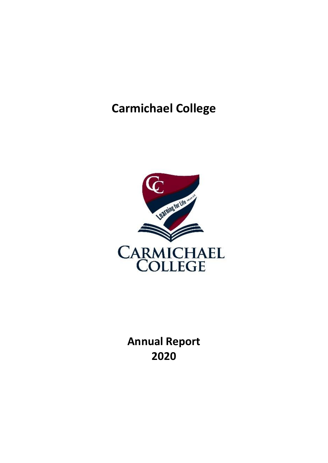# **Carmichael College**



**Annual Report 2020**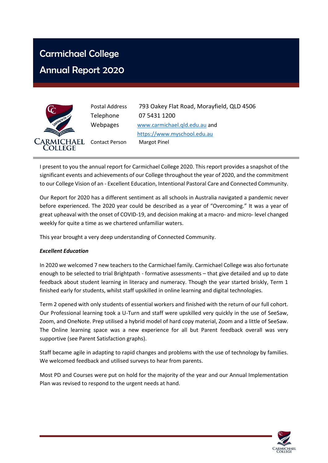## Carmichael College

## Annual Report 2020



Postal Address 793 Oakey Flat Road, Morayfield, QLD 4506 Telephone 07 5431 1200 Webpages [www.carmichael.qld.edu.au](http://www.carmichael.qld.edu.au/) and [https://www.myschool.edu.au](https://www.myschool.edu.au/) Contact Person Margot Pinel

I present to you the annual report for Carmichael College 2020. This report provides a snapshot of the significant events and achievements of our College throughout the year of 2020, and the commitment to our College Vision of an - Excellent Education, Intentional Pastoral Care and Connected Community.

Our Report for 2020 has a different sentiment as all schools in Australia navigated a pandemic never before experienced. The 2020 year could be described as a year of "Overcoming." It was a year of great upheaval with the onset of COVID-19, and decision making at a macro- and micro- level changed weekly for quite a time as we chartered unfamiliar waters.

This year brought a very deep understanding of Connected Community.

#### *Excellent Education*

In 2020 we welcomed 7 new teachers to the Carmichael family. Carmichael College was also fortunate enough to be selected to trial Brightpath - formative assessments – that give detailed and up to date feedback about student learning in literacy and numeracy. Though the year started briskly, Term 1 finished early for students, whilst staff upskilled in online learning and digital technologies.

Term 2 opened with only students of essential workers and finished with the return of our full cohort. Our Professional learning took a U-Turn and staff were upskilled very quickly in the use of SeeSaw, Zoom, and OneNote. Prep utilised a hybrid model of hard copy material, Zoom and a little of SeeSaw. The Online learning space was a new experience for all but Parent feedback overall was very supportive (see Parent Satisfaction graphs).

Staff became agile in adapting to rapid changes and problems with the use of technology by families. We welcomed feedback and utilised surveys to hear from parents.

Most PD and Courses were put on hold for the majority of the year and our Annual Implementation Plan was revised to respond to the urgent needs at hand.

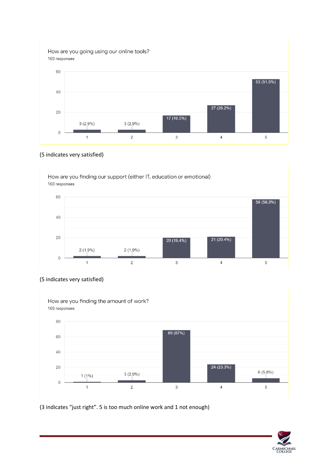How are you going using our online tools? 103 responses



#### (5 indicates very satisfied)









(3 indicates "just right". 5 is too much online work and 1 not enough)

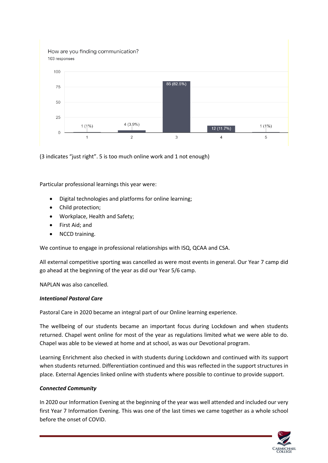How are you finding communication? 103 responses



(3 indicates "just right". 5 is too much online work and 1 not enough)

Particular professional learnings this year were:

- Digital technologies and platforms for online learning;
- Child protection;
- Workplace, Health and Safety;
- First Aid; and
- NCCD training.

We continue to engage in professional relationships with ISQ, QCAA and CSA.

All external competitive sporting was cancelled as were most events in general. Our Year 7 camp did go ahead at the beginning of the year as did our Year 5/6 camp.

NAPLAN was also cancelled.

#### *Intentional Pastoral Care*

Pastoral Care in 2020 became an integral part of our Online learning experience.

The wellbeing of our students became an important focus during Lockdown and when students returned. Chapel went online for most of the year as regulations limited what we were able to do. Chapel was able to be viewed at home and at school, as was our Devotional program.

Learning Enrichment also checked in with students during Lockdown and continued with its support when students returned. Differentiation continued and this was reflected in the support structures in place. External Agencies linked online with students where possible to continue to provide support.

#### *Connected Community*

In 2020 our Information Evening at the beginning of the year was well attended and included our very first Year 7 Information Evening. This was one of the last times we came together as a whole school before the onset of COVID.

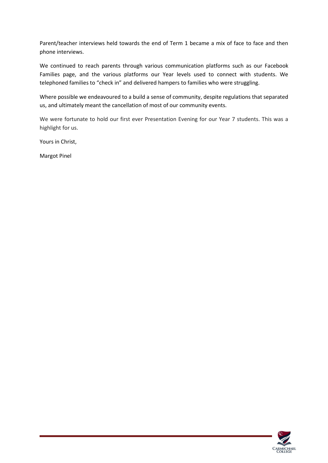Parent/teacher interviews held towards the end of Term 1 became a mix of face to face and then phone interviews.

We continued to reach parents through various communication platforms such as our Facebook Families page, and the various platforms our Year levels used to connect with students. We telephoned families to "check in" and delivered hampers to families who were struggling.

Where possible we endeavoured to a build a sense of community, despite regulations that separated us, and ultimately meant the cancellation of most of our community events.

We were fortunate to hold our first ever Presentation Evening for our Year 7 students. This was a highlight for us.

Yours in Christ,

Margot Pinel

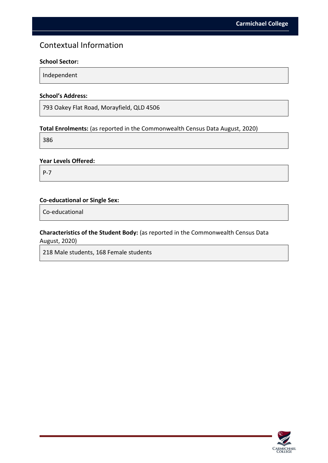### Contextual Information

#### **School Sector:**

Independent

#### **School's Address:**

793 Oakey Flat Road, Morayfield, QLD 4506

#### **Total Enrolments:** (as reported in the Commonwealth Census Data August, 2020)

386

#### **Year Levels Offered:**

P-7

#### **Co-educational or Single Sex:**

Co-educational

#### **Characteristics of the Student Body:** (as reported in the Commonwealth Census Data August, 2020)

218 Male students, 168 Female students

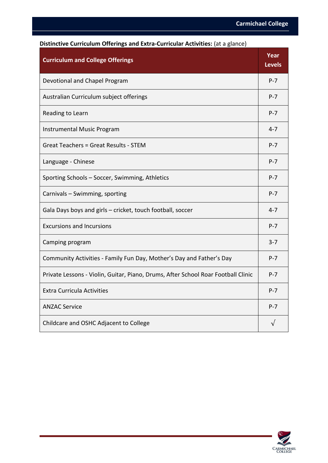| - - - - - - ס<br><b>Curriculum and College Offerings</b>                          | Year<br><b>Levels</b> |
|-----------------------------------------------------------------------------------|-----------------------|
| Devotional and Chapel Program                                                     | $P - 7$               |
| Australian Curriculum subject offerings                                           | $P - 7$               |
| Reading to Learn                                                                  | $P - 7$               |
| Instrumental Music Program                                                        | $4 - 7$               |
| <b>Great Teachers = Great Results - STEM</b>                                      | $P - 7$               |
| Language - Chinese                                                                | $P - 7$               |
| Sporting Schools - Soccer, Swimming, Athletics                                    | $P - 7$               |
| Carnivals - Swimming, sporting                                                    | $P - 7$               |
| Gala Days boys and girls - cricket, touch football, soccer                        | $4 - 7$               |
| <b>Excursions and Incursions</b>                                                  | $P - 7$               |
| Camping program                                                                   | $3 - 7$               |
| Community Activities - Family Fun Day, Mother's Day and Father's Day              | $P - 7$               |
| Private Lessons - Violin, Guitar, Piano, Drums, After School Roar Football Clinic | $P - 7$               |
| <b>Extra Curricula Activities</b>                                                 | $P - 7$               |
| <b>ANZAC Service</b>                                                              | $P - 7$               |
| Childcare and OSHC Adjacent to College                                            | √                     |

#### **Distinctive Curriculum Offerings and Extra-Curricular Activities:** (at a glance)

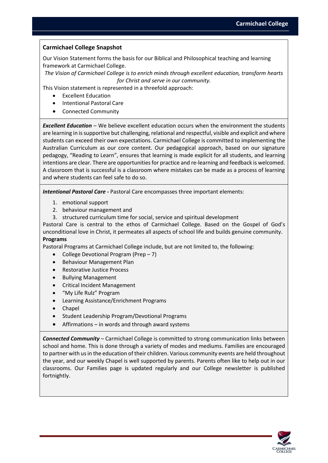#### **Carmichael College Snapshot**

Our Vision Statement forms the basis for our Biblical and Philosophical teaching and learning framework at Carmichael College.

*The Vision of Carmichael College is to enrich minds through excellent education, transform hearts for Christ and serve in our community.*

This Vision statement is represented in a threefold approach:

- **Excellent Education**
- Intentional Pastoral Care
- Connected Community

*Excellent Education* – We believe excellent education occurs when the environment the students are learning in is supportive but challenging, relational and respectful, visible and explicit and where students can exceed their own expectations. Carmichael College is committed to implementing the Australian Curriculum as our core content. Our pedagogical approach, based on our signature pedagogy, "Reading to Learn", ensures that learning is made explicit for all students, and learning intentions are clear. There are opportunities for practice and re-learning and feedback is welcomed. A classroom that is successful is a classroom where mistakes can be made as a process of learning and where students can feel safe to do so.

*Intentional Pastoral Care -* Pastoral Care encompasses three important elements:

- 1. emotional support
- 2. behaviour management and
- 3. structured curriculum time for social, service and spiritual development

Pastoral Care is central to the ethos of Carmichael College. Based on the Gospel of God's unconditional love in Christ, it permeates all aspects of school life and builds genuine community. **Programs**

Pastoral Programs at Carmichael College include, but are not limited to, the following:

- College Devotional Program (Prep 7)
- Behaviour Management Plan
- Restorative Justice Process
- Bullying Management
- Critical Incident Management
- "My Life Rulz" Program
- Learning Assistance/Enrichment Programs
- Chapel
- Student Leadership Program/Devotional Programs
- Affirmations  $-$  in words and through award systems

*Connected Community* – Carmichael College is committed to strong communication links between school and home. This is done through a variety of modes and mediums. Families are encouraged to partner with us in the education of their children. Various community events are held throughout the year, and our weekly Chapel is well supported by parents. Parents often like to help out in our classrooms. Our Families page is updated regularly and our College newsletter is published fortnightly.

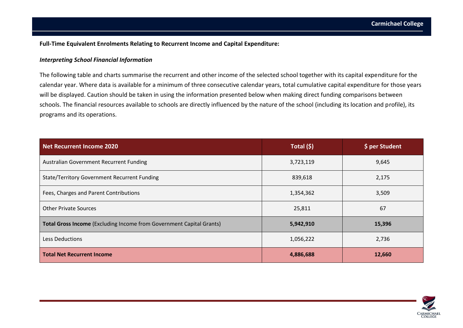#### **Full-Time Equivalent Enrolments Relating to Recurrent Income and Capital Expenditure:**

#### *Interpreting School Financial Information*

The following table and charts summarise the recurrent and other income of the selected school together with its capital expenditure for the calendar year. Where data is available for a minimum of three consecutive calendar years, total cumulative capital expenditure for those years will be displayed. Caution should be taken in using the information presented below when making direct funding comparisons between schools. The financial resources available to schools are directly influenced by the nature of the school (including its location and profile), its programs and its operations.

| Net Recurrent Income 2020                                                   | Total (\$) | \$ per Student |
|-----------------------------------------------------------------------------|------------|----------------|
| Australian Government Recurrent Funding                                     | 3,723,119  | 9,645          |
| <b>State/Territory Government Recurrent Funding</b>                         | 839,618    | 2,175          |
| Fees, Charges and Parent Contributions                                      | 1,354,362  | 3,509          |
| <b>Other Private Sources</b>                                                | 25,811     | 67             |
| <b>Total Gross Income (Excluding Income from Government Capital Grants)</b> | 5,942,910  | 15,396         |
| <b>Less Deductions</b>                                                      | 1,056,222  | 2,736          |
| <b>Total Net Recurrent Income</b>                                           | 4,886,688  | 12,660         |

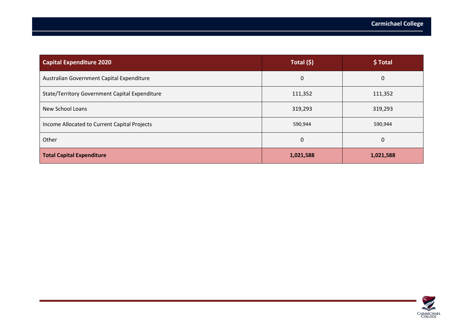| <b>Capital Expenditure 2020</b>                       | Total (\$) | \$Total   |
|-------------------------------------------------------|------------|-----------|
| Australian Government Capital Expenditure             | 0          | 0         |
| <b>State/Territory Government Capital Expenditure</b> | 111,352    | 111,352   |
| New School Loans                                      | 319,293    | 319,293   |
| Income Allocated to Current Capital Projects          | 590,944    | 590,944   |
| Other                                                 | 0          | 0         |
| <b>Total Capital Expenditure</b>                      | 1,021,588  | 1,021,588 |

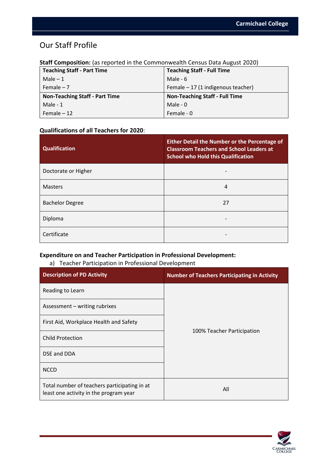## Our Staff Profile

| <b>Teaching Staff - Part Time</b>     | <b>Teaching Staff - Full Time</b>     |
|---------------------------------------|---------------------------------------|
| Male $-1$                             | Male - $6$                            |
| Female $-7$                           | Female $-17$ (1 indigenous teacher)   |
| <b>Non-Teaching Staff - Part Time</b> | <b>Non-Teaching Staff - Full Time</b> |
| Male - 1                              | Male - 0                              |
| Female $-12$                          | Female - 0                            |

#### **Staff Composition:** (as reported in the Commonwealth Census Data August 2020)

#### **Qualifications of all Teachers for 2020**:

| <b>Qualification</b>   | <b>Either Detail the Number or the Percentage of</b><br><b>Classroom Teachers and School Leaders at</b><br><b>School who Hold this Qualification</b> |
|------------------------|------------------------------------------------------------------------------------------------------------------------------------------------------|
| Doctorate or Higher    |                                                                                                                                                      |
| <b>Masters</b>         | 4                                                                                                                                                    |
| <b>Bachelor Degree</b> | 27                                                                                                                                                   |
| Diploma                |                                                                                                                                                      |
| Certificate            |                                                                                                                                                      |

#### **Expenditure on and Teacher Participation in Professional Development:**

#### a) Teacher Participation in Professional Development

| <b>Description of PD Activity</b>                                                      | <b>Number of Teachers Participating in Activity</b> |  |
|----------------------------------------------------------------------------------------|-----------------------------------------------------|--|
| Reading to Learn                                                                       |                                                     |  |
| Assessment – writing rubrixes                                                          |                                                     |  |
| First Aid, Workplace Health and Safety                                                 |                                                     |  |
| <b>Child Protection</b>                                                                | 100% Teacher Participation                          |  |
| DSE and DDA                                                                            |                                                     |  |
| <b>NCCD</b>                                                                            |                                                     |  |
| Total number of teachers participating in at<br>least one activity in the program year | All                                                 |  |

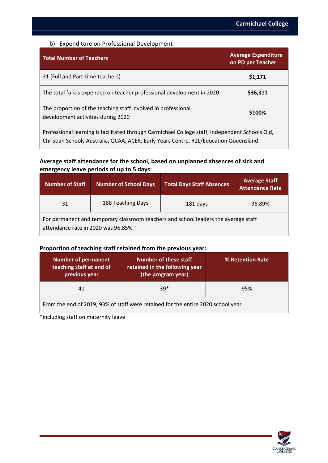#### b) Expenditure on Professional Development

| <b>Total Number of Teachers</b>                                                                     | <b>Average Expenditure</b><br>on PD per Teacher |
|-----------------------------------------------------------------------------------------------------|-------------------------------------------------|
| 31 (Full and Part-time teachers)                                                                    | \$1,171                                         |
| The total funds expended on teacher professional development in 2020                                | \$36,311                                        |
| The proportion of the teaching staff involved in professional<br>development activities during 2020 | \$100%                                          |
| Professional learning is facilitated through Carmichael College staff, Independent Schools Qld,     |                                                 |

Christian Schools Australia, QCAA, ACER, Early Years Centre, R2L/Education Queensland

#### **Average staff attendance for the school, based on unplanned absences of sick and emergency leave periods of up to 5 days:**

| Number of Staff                                                                                                           | <b>Number of School Days</b> | <b>Total Days Staff Absences</b> | <b>Average Staff</b><br><b>Attendance Rate</b> |
|---------------------------------------------------------------------------------------------------------------------------|------------------------------|----------------------------------|------------------------------------------------|
| 31                                                                                                                        | 188 Teaching Days            | 181 days                         | 96.89%                                         |
| For permanent and temporary classroom teachers and school leaders the average staff<br>attendance rate in 2020 was 96.85% |                              |                                  |                                                |

#### **Proportion of teaching staff retained from the previous year:**

| <b>Number of permanent</b><br>teaching staff at end of<br>previous year          | <b>Number of these staff</b><br>retained in the following year<br>(the program year) | % Retention Rate |
|----------------------------------------------------------------------------------|--------------------------------------------------------------------------------------|------------------|
| 41                                                                               | $39*$                                                                                | 95%              |
| From the end of 2019, 93% of staff were retained for the entire 2020 school year |                                                                                      |                  |

\*including staff on maternity leave

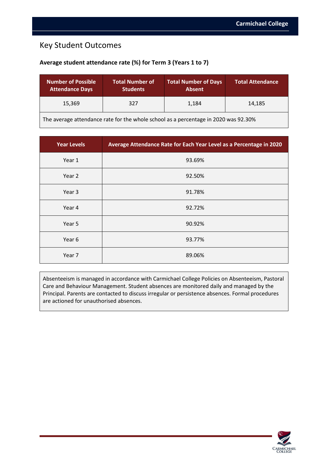### Key Student Outcomes

#### **Average student attendance rate (%) for Term 3 (Years 1 to 7)**

| <b>Number of Possible</b><br><b>Attendance Days</b>                                 | <b>Total Number of</b><br><b>Students</b> | <b>Total Number of Days</b><br><b>Absent</b> | <b>Total Attendance</b> |
|-------------------------------------------------------------------------------------|-------------------------------------------|----------------------------------------------|-------------------------|
| 15.369                                                                              | 327                                       | 1,184                                        | 14.185                  |
| The average attendance rate for the whole school as a percentage in 2020 was 92.30% |                                           |                                              |                         |

| <b>Year Levels</b> | Average Attendance Rate for Each Year Level as a Percentage in 2020 |
|--------------------|---------------------------------------------------------------------|
| Year 1             | 93.69%                                                              |
| Year 2             | 92.50%                                                              |
| Year 3             | 91.78%                                                              |
| Year 4             | 92.72%                                                              |
| Year 5             | 90.92%                                                              |
| Year 6             | 93.77%                                                              |
| Year 7             | 89.06%                                                              |

Absenteeism is managed in accordance with Carmichael College Policies on Absenteeism, Pastoral Care and Behaviour Management. Student absences are monitored daily and managed by the Principal. Parents are contacted to discuss irregular or persistence absences. Formal procedures are actioned for unauthorised absences.